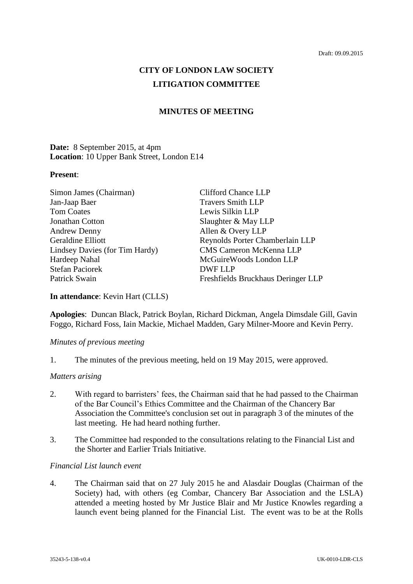# **CITY OF LONDON LAW SOCIETY LITIGATION COMMITTEE**

# **MINUTES OF MEETING**

# **Date:** 8 September 2015, at 4pm **Location**: 10 Upper Bank Street, London E14

#### **Present**:

| Simon James (Chairman)         | <b>Clifford Chance LLP</b>         |
|--------------------------------|------------------------------------|
| Jan-Jaap Baer                  | <b>Travers Smith LLP</b>           |
| <b>Tom Coates</b>              | Lewis Silkin LLP                   |
| Jonathan Cotton                | Slaughter & May LLP                |
| <b>Andrew Denny</b>            | Allen & Overy LLP                  |
| Geraldine Elliott              | Reynolds Porter Chamberlain LLP    |
| Lindsey Davies (for Tim Hardy) | <b>CMS Cameron McKenna LLP</b>     |
| Hardeep Nahal                  | McGuireWoods London LLP            |
| <b>Stefan Paciorek</b>         | <b>DWF LLP</b>                     |
| Patrick Swain                  | Freshfields Bruckhaus Deringer LLP |

#### **In attendance**: Kevin Hart (CLLS)

**Apologies**: Duncan Black, Patrick Boylan, Richard Dickman, Angela Dimsdale Gill, Gavin Foggo, Richard Foss, Iain Mackie, Michael Madden, Gary Milner-Moore and Kevin Perry.

# *Minutes of previous meeting*

1. The minutes of the previous meeting, held on 19 May 2015, were approved.

# *Matters arising*

- 2. With regard to barristers' fees, the Chairman said that he had passed to the Chairman of the Bar Council's Ethics Committee and the Chairman of the Chancery Bar Association the Committee's conclusion set out in paragraph 3 of the minutes of the last meeting. He had heard nothing further.
- 3. The Committee had responded to the consultations relating to the Financial List and the Shorter and Earlier Trials Initiative.

#### *Financial List launch event*

4. The Chairman said that on 27 July 2015 he and Alasdair Douglas (Chairman of the Society) had, with others (eg Combar, Chancery Bar Association and the LSLA) attended a meeting hosted by Mr Justice Blair and Mr Justice Knowles regarding a launch event being planned for the Financial List. The event was to be at the Rolls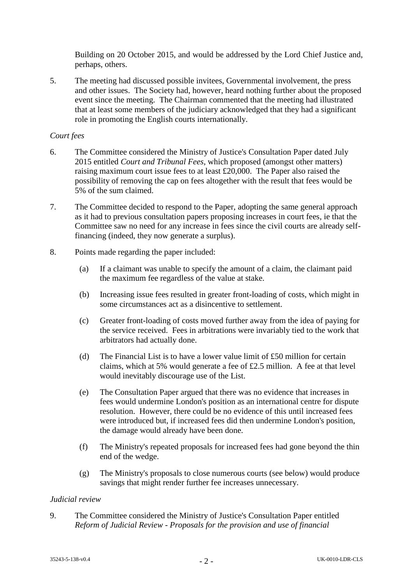Building on 20 October 2015, and would be addressed by the Lord Chief Justice and, perhaps, others.

5. The meeting had discussed possible invitees, Governmental involvement, the press and other issues. The Society had, however, heard nothing further about the proposed event since the meeting. The Chairman commented that the meeting had illustrated that at least some members of the judiciary acknowledged that they had a significant role in promoting the English courts internationally.

# *Court fees*

- 6. The Committee considered the Ministry of Justice's Consultation Paper dated July 2015 entitled *Court and Tribunal Fees*, which proposed (amongst other matters) raising maximum court issue fees to at least £20,000. The Paper also raised the possibility of removing the cap on fees altogether with the result that fees would be 5% of the sum claimed.
- 7. The Committee decided to respond to the Paper, adopting the same general approach as it had to previous consultation papers proposing increases in court fees, ie that the Committee saw no need for any increase in fees since the civil courts are already selffinancing (indeed, they now generate a surplus).
- 8. Points made regarding the paper included:
	- (a) If a claimant was unable to specify the amount of a claim, the claimant paid the maximum fee regardless of the value at stake.
	- (b) Increasing issue fees resulted in greater front-loading of costs, which might in some circumstances act as a disincentive to settlement.
	- (c) Greater front-loading of costs moved further away from the idea of paying for the service received. Fees in arbitrations were invariably tied to the work that arbitrators had actually done.
	- (d) The Financial List is to have a lower value limit of  $£50$  million for certain claims, which at 5% would generate a fee of £2.5 million. A fee at that level would inevitably discourage use of the List.
	- (e) The Consultation Paper argued that there was no evidence that increases in fees would undermine London's position as an international centre for dispute resolution. However, there could be no evidence of this until increased fees were introduced but, if increased fees did then undermine London's position, the damage would already have been done.
	- (f) The Ministry's repeated proposals for increased fees had gone beyond the thin end of the wedge.
	- (g) The Ministry's proposals to close numerous courts (see below) would produce savings that might render further fee increases unnecessary.

# *Judicial review*

9. The Committee considered the Ministry of Justice's Consultation Paper entitled *Reform of Judicial Review - Proposals for the provision and use of financial*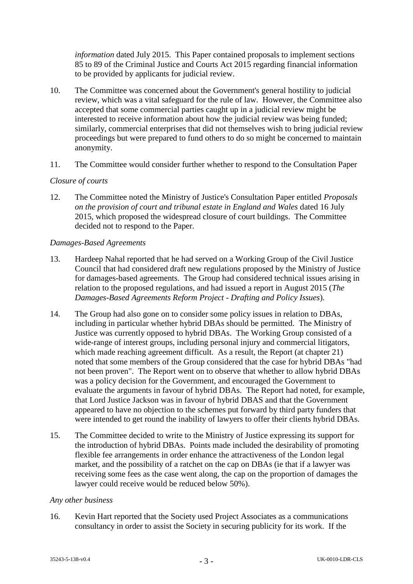*information* dated July 2015. This Paper contained proposals to implement sections 85 to 89 of the Criminal Justice and Courts Act 2015 regarding financial information to be provided by applicants for judicial review.

- 10. The Committee was concerned about the Government's general hostility to judicial review, which was a vital safeguard for the rule of law. However, the Committee also accepted that some commercial parties caught up in a judicial review might be interested to receive information about how the judicial review was being funded; similarly, commercial enterprises that did not themselves wish to bring judicial review proceedings but were prepared to fund others to do so might be concerned to maintain anonymity.
- 11. The Committee would consider further whether to respond to the Consultation Paper

# *Closure of courts*

12. The Committee noted the Ministry of Justice's Consultation Paper entitled *Proposals on the provision of court and tribunal estate in England and Wales* dated 16 July 2015, which proposed the widespread closure of court buildings. The Committee decided not to respond to the Paper.

# *Damages-Based Agreements*

- 13. Hardeep Nahal reported that he had served on a Working Group of the Civil Justice Council that had considered draft new regulations proposed by the Ministry of Justice for damages-based agreements. The Group had considered technical issues arising in relation to the proposed regulations, and had issued a report in August 2015 (*The Damages-Based Agreements Reform Project - Drafting and Policy Issues*).
- 14. The Group had also gone on to consider some policy issues in relation to DBAs, including in particular whether hybrid DBAs should be permitted. The Ministry of Justice was currently opposed to hybrid DBAs. The Working Group consisted of a wide-range of interest groups, including personal injury and commercial litigators, which made reaching agreement difficult. As a result, the Report (at chapter 21) noted that some members of the Group considered that the case for hybrid DBAs "had not been proven". The Report went on to observe that whether to allow hybrid DBAs was a policy decision for the Government, and encouraged the Government to evaluate the arguments in favour of hybrid DBAs. The Report had noted, for example, that Lord Justice Jackson was in favour of hybrid DBAS and that the Government appeared to have no objection to the schemes put forward by third party funders that were intended to get round the inability of lawyers to offer their clients hybrid DBAs.
- 15. The Committee decided to write to the Ministry of Justice expressing its support for the introduction of hybrid DBAs. Points made included the desirability of promoting flexible fee arrangements in order enhance the attractiveness of the London legal market, and the possibility of a ratchet on the cap on DBAs (ie that if a lawyer was receiving some fees as the case went along, the cap on the proportion of damages the lawyer could receive would be reduced below 50%).

# *Any other business*

16. Kevin Hart reported that the Society used Project Associates as a communications consultancy in order to assist the Society in securing publicity for its work. If the